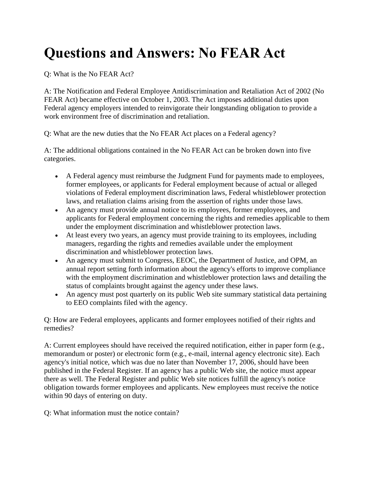## **Questions and Answers: No FEAR Act**

Q: What is the No FEAR Act?

A: The Notification and Federal Employee Antidiscrimination and Retaliation Act of 2002 (No FEAR Act) became effective on October 1, 2003. The Act imposes additional duties upon Federal agency employers intended to reinvigorate their longstanding obligation to provide a work environment free of discrimination and retaliation.

Q: What are the new duties that the No FEAR Act places on a Federal agency?

A: The additional obligations contained in the No FEAR Act can be broken down into five categories.

- A Federal agency must reimburse the Judgment Fund for payments made to employees, former employees, or applicants for Federal employment because of actual or alleged violations of Federal employment discrimination laws, Federal whistleblower protection laws, and retaliation claims arising from the assertion of rights under those laws.
- An agency must provide annual notice to its employees, former employees, and applicants for Federal employment concerning the rights and remedies applicable to them under the employment discrimination and whistleblower protection laws.
- At least every two years, an agency must provide training to its employees, including managers, regarding the rights and remedies available under the employment discrimination and whistleblower protection laws.
- An agency must submit to Congress, EEOC, the Department of Justice, and OPM, an annual report setting forth information about the agency's efforts to improve compliance with the employment discrimination and whistleblower protection laws and detailing the status of complaints brought against the agency under these laws.
- An agency must post quarterly on its public Web site summary statistical data pertaining to EEO complaints filed with the agency.

Q: How are Federal employees, applicants and former employees notified of their rights and remedies?

A: Current employees should have received the required notification, either in paper form (e.g., memorandum or poster) or electronic form (e.g., e-mail, internal agency electronic site). Each agency's initial notice, which was due no later than November 17, 2006, should have been published in the Federal Register. If an agency has a public Web site, the notice must appear there as well. The Federal Register and public Web site notices fulfill the agency's notice obligation towards former employees and applicants. New employees must receive the notice within 90 days of entering on duty.

Q: What information must the notice contain?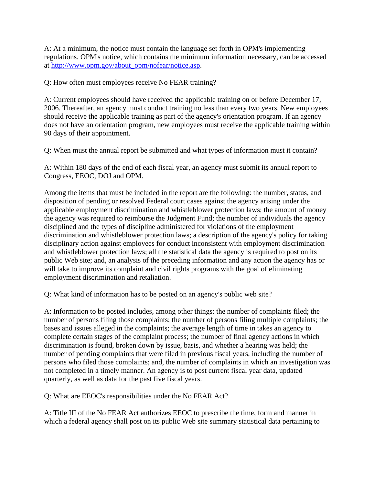A: At a minimum, the notice must contain the language set forth in OPM's implementing regulations. OPM's notice, which contains the minimum information necessary, can be accessed at [http://www.opm.gov/about\\_opm/nofear/notice.asp.](http://www.opm.gov/about_opm/nofear/notice.asp)

Q: How often must employees receive No FEAR training?

A: Current employees should have received the applicable training on or before December 17, 2006. Thereafter, an agency must conduct training no less than every two years. New employees should receive the applicable training as part of the agency's orientation program. If an agency does not have an orientation program, new employees must receive the applicable training within 90 days of their appointment.

Q: When must the annual report be submitted and what types of information must it contain?

A: Within 180 days of the end of each fiscal year, an agency must submit its annual report to Congress, EEOC, DOJ and OPM.

Among the items that must be included in the report are the following: the number, status, and disposition of pending or resolved Federal court cases against the agency arising under the applicable employment discrimination and whistleblower protection laws; the amount of money the agency was required to reimburse the Judgment Fund; the number of individuals the agency disciplined and the types of discipline administered for violations of the employment discrimination and whistleblower protection laws; a description of the agency's policy for taking disciplinary action against employees for conduct inconsistent with employment discrimination and whistleblower protection laws; all the statistical data the agency is required to post on its public Web site; and, an analysis of the preceding information and any action the agency has or will take to improve its complaint and civil rights programs with the goal of eliminating employment discrimination and retaliation.

Q: What kind of information has to be posted on an agency's public web site?

A: Information to be posted includes, among other things: the number of complaints filed; the number of persons filing those complaints; the number of persons filing multiple complaints; the bases and issues alleged in the complaints; the average length of time in takes an agency to complete certain stages of the complaint process; the number of final agency actions in which discrimination is found, broken down by issue, basis, and whether a hearing was held; the number of pending complaints that were filed in previous fiscal years, including the number of persons who filed those complaints; and, the number of complaints in which an investigation was not completed in a timely manner. An agency is to post current fiscal year data, updated quarterly, as well as data for the past five fiscal years.

Q: What are EEOC's responsibilities under the No FEAR Act?

A: Title III of the No FEAR Act authorizes EEOC to prescribe the time, form and manner in which a federal agency shall post on its public Web site summary statistical data pertaining to